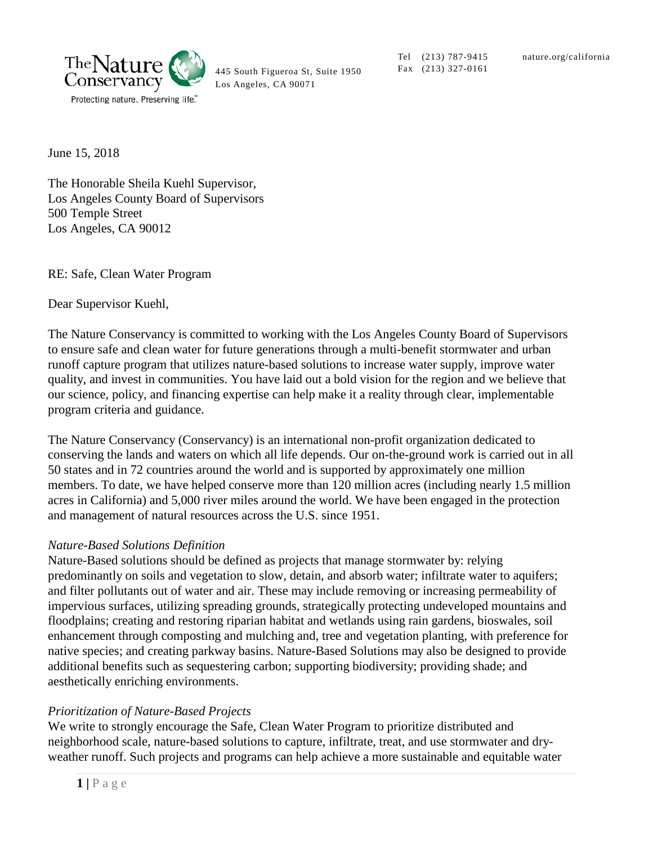

445 South Figueroa St, Suite 1950 Los Angeles, CA 90071

Tel (213) 787-9415 Fax (213) 327-0161

June 15, 2018

The Honorable Sheila Kuehl Supervisor, Los Angeles County Board of Supervisors 500 Temple Street Los Angeles, CA 90012

RE: Safe, Clean Water Program

Dear Supervisor Kuehl,

The Nature Conservancy is committed to working with the Los Angeles County Board of Supervisors to ensure safe and clean water for future generations through a multi-benefit stormwater and urban runoff capture program that utilizes nature-based solutions to increase water supply, improve water quality, and invest in communities. You have laid out a bold vision for the region and we believe that our science, policy, and financing expertise can help make it a reality through clear, implementable program criteria and guidance.

The Nature Conservancy (Conservancy) is an international non-profit organization dedicated to conserving the lands and waters on which all life depends. Our on-the-ground work is carried out in all 50 states and in 72 countries around the world and is supported by approximately one million members. To date, we have helped conserve more than 120 million acres (including nearly 1.5 million acres in California) and 5,000 river miles around the world. We have been engaged in the protection and management of natural resources across the U.S. since 1951.

#### *Nature-Based Solutions Definition*

Nature-Based solutions should be defined as projects that manage stormwater by: relying predominantly on soils and vegetation to slow, detain, and absorb water; infiltrate water to aquifers; and filter pollutants out of water and air. These may include removing or increasing permeability of impervious surfaces, utilizing spreading grounds, strategically protecting undeveloped mountains and floodplains; creating and restoring riparian habitat and wetlands using rain gardens, bioswales, soil enhancement through composting and mulching and, tree and vegetation planting, with preference for native species; and creating parkway basins. Nature-Based Solutions may also be designed to provide additional benefits such as sequestering carbon; supporting biodiversity; providing shade; and aesthetically enriching environments.

#### *Prioritization of Nature-Based Projects*

We write to strongly encourage the Safe, Clean Water Program to prioritize distributed and neighborhood scale, nature-based solutions to capture, infiltrate, treat, and use stormwater and dryweather runoff. Such projects and programs can help achieve a more sustainable and equitable water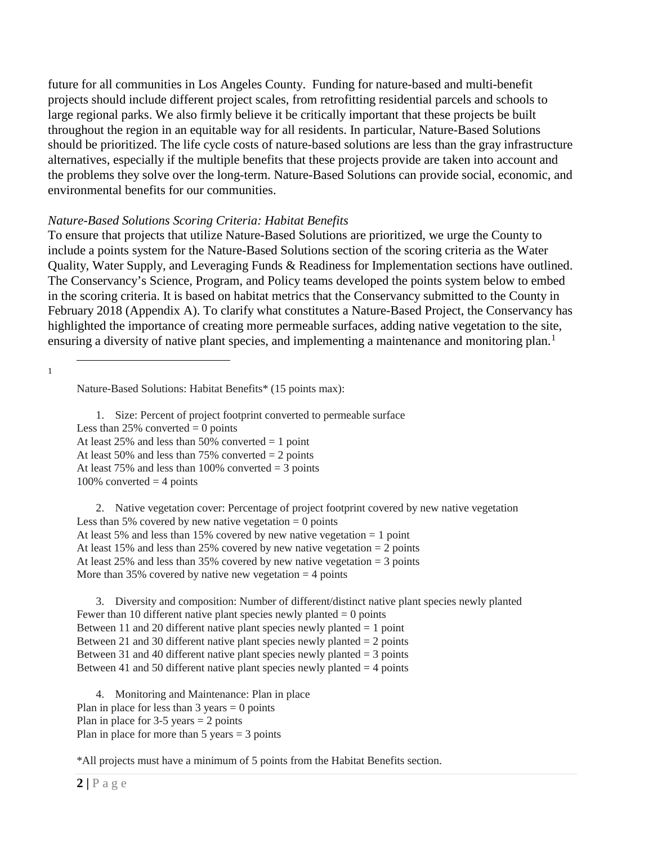future for all communities in Los Angeles County. Funding for nature-based and multi-benefit projects should include different project scales, from retrofitting residential parcels and schools to large regional parks. We also firmly believe it be critically important that these projects be built throughout the region in an equitable way for all residents. In particular, Nature-Based Solutions should be prioritized. The life cycle costs of nature-based solutions are less than the gray infrastructure alternatives, especially if the multiple benefits that these projects provide are taken into account and the problems they solve over the long-term. Nature-Based Solutions can provide social, economic, and environmental benefits for our communities.

### *Nature-Based Solutions Scoring Criteria: Habitat Benefits*

To ensure that projects that utilize Nature-Based Solutions are prioritized, we urge the County to include a points system for the Nature-Based Solutions section of the scoring criteria as the Water Quality, Water Supply, and Leveraging Funds & Readiness for Implementation sections have outlined. The Conservancy's Science, Program, and Policy teams developed the points system below to embed in the scoring criteria. It is based on habitat metrics that the Conservancy submitted to the County in February 2018 (Appendix A). To clarify what constitutes a Nature-Based Project, the Conservancy has highlighted the importance of creating more permeable surfaces, adding native vegetation to the site, ensuring a diversity of native plant species, and implementing a maintenance and monitoring plan.<sup>[1](#page-1-0)</sup>

<span id="page-1-0"></span> $\frac{1}{1}$ 

Nature-Based Solutions: Habitat Benefits\* (15 points max):

1. Size: Percent of project footprint converted to permeable surface Less than  $25\%$  converted = 0 points At least 25% and less than 50% converted  $= 1$  point At least 50% and less than 75% converted  $= 2$  points At least 75% and less than 100% converted  $=$  3 points  $100\%$  converted  $=$  4 points

2. Native vegetation cover: Percentage of project footprint covered by new native vegetation Less than 5% covered by new native vegetation  $= 0$  points At least 5% and less than 15% covered by new native vegetation  $= 1$  point At least 15% and less than 25% covered by new native vegetation =  $\frac{1}{2}$  points At least 25% and less than 35% covered by new native vegetation  $=$  3 points More than  $35\%$  covered by native new vegetation = 4 points

3. Diversity and composition: Number of different/distinct native plant species newly planted Fewer than 10 different native plant species newly planted  $= 0$  points Between 11 and 20 different native plant species newly planted = 1 point Between 21 and 30 different native plant species newly planted  $= 2$  points Between 31 and 40 different native plant species newly planted  $=$  3 points Between 41 and 50 different native plant species newly planted  $=$  4 points

4. Monitoring and Maintenance: Plan in place Plan in place for less than  $3$  years  $= 0$  points Plan in place for  $3-5$  years  $= 2$  points Plan in place for more than  $5$  years  $= 3$  points

\*All projects must have a minimum of 5 points from the Habitat Benefits section.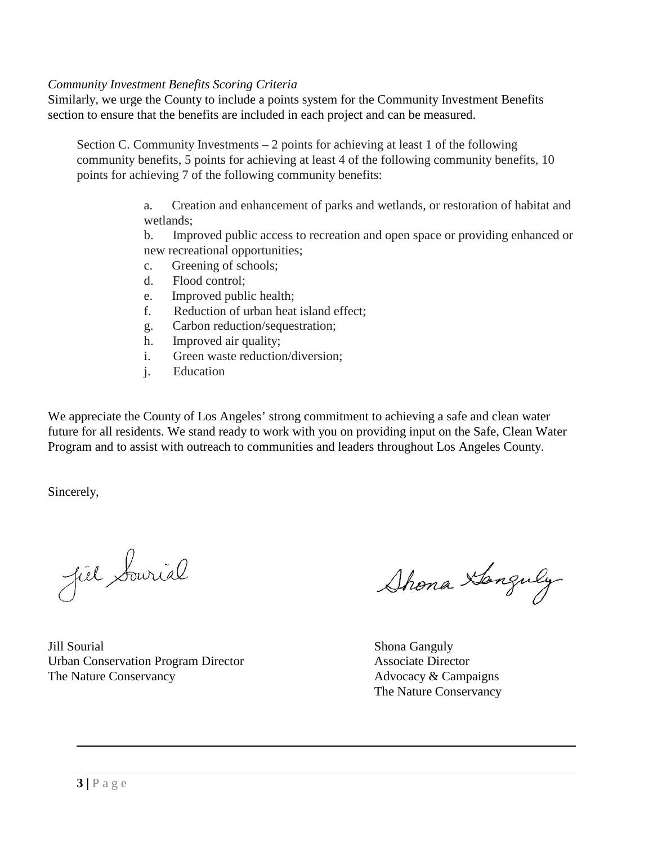#### *Community Investment Benefits Scoring Criteria*

Similarly, we urge the County to include a points system for the Community Investment Benefits section to ensure that the benefits are included in each project and can be measured.

Section C. Community Investments  $-2$  points for achieving at least 1 of the following community benefits, 5 points for achieving at least 4 of the following community benefits, 10 points for achieving 7 of the following community benefits:

> a. Creation and enhancement of parks and wetlands, or restoration of habitat and wetlands;

> b. Improved public access to recreation and open space or providing enhanced or new recreational opportunities;

- c. Greening of schools;
- d. Flood control;
- e. Improved public health;
- f. Reduction of urban heat island effect;
- g. Carbon reduction/sequestration;
- h. Improved air quality;
- i. Green waste reduction/diversion;
- j. Education

We appreciate the County of Los Angeles' strong commitment to achieving a safe and clean water future for all residents. We stand ready to work with you on providing input on the Safe, Clean Water Program and to assist with outreach to communities and leaders throughout Los Angeles County.

Sincerely,

Jiel Sourial

**Jill Sourial** Shona Ganguly Shona Ganguly Urban Conservation Program Director Associate Director The Nature Conservancy and the Nature Conservancy and Advocacy & Campaigns

Shona Xanguly

The Nature Conservancy

 $\overline{a}$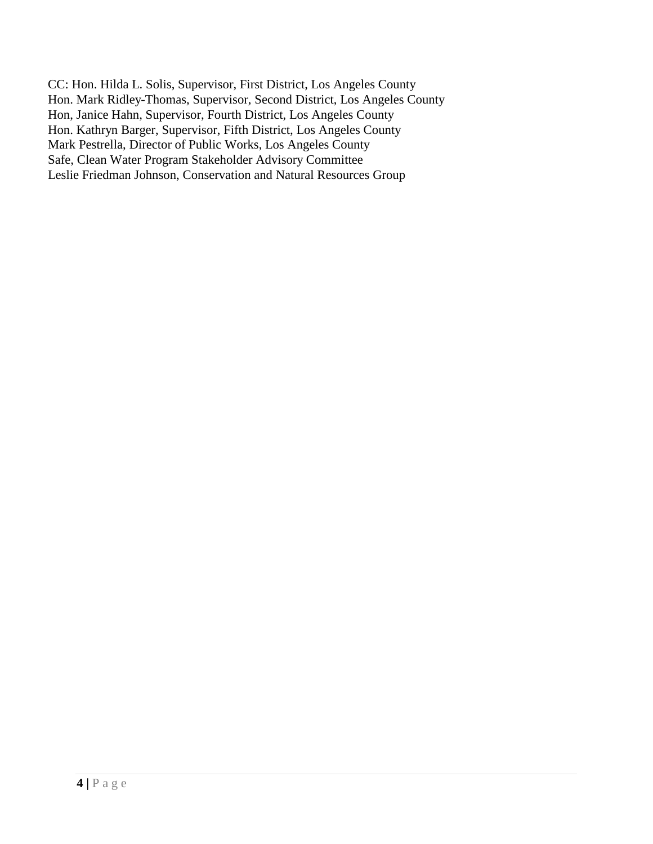CC: Hon. Hilda L. Solis, Supervisor, First District, Los Angeles County Hon. Mark Ridley-Thomas, Supervisor, Second District, Los Angeles County Hon, Janice Hahn, Supervisor, Fourth District, Los Angeles County Hon. Kathryn Barger, Supervisor, Fifth District, Los Angeles County Mark Pestrella, Director of Public Works, Los Angeles County Safe, Clean Water Program Stakeholder Advisory Committee Leslie Friedman Johnson, Conservation and Natural Resources Group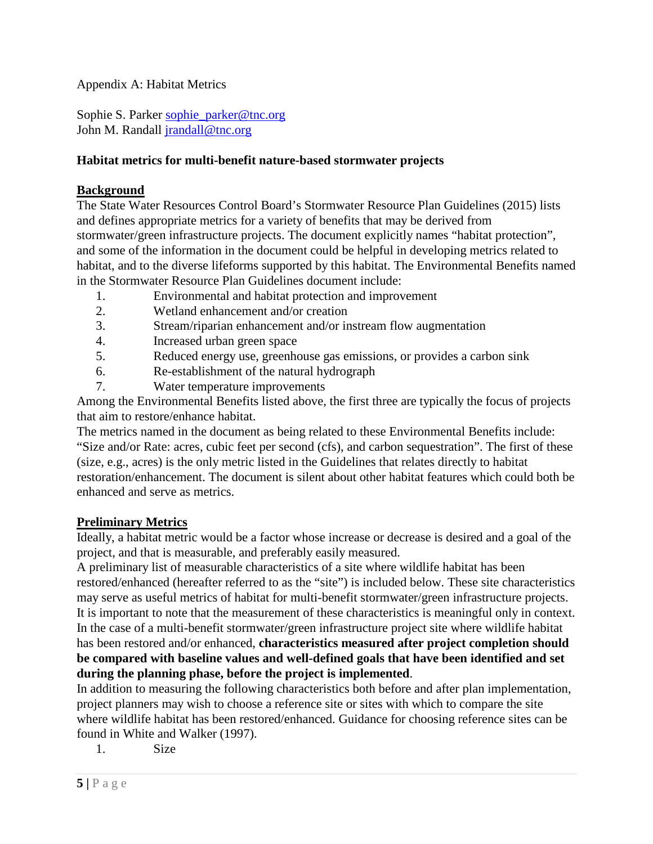Appendix A: Habitat Metrics

Sophie S. Parker [sophie\\_parker@tnc.org](mailto:sophie_parker@tnc.org) John M. Randall [jrandall@tnc.org](mailto:jrandall@tnc.org)

### **Habitat metrics for multi-benefit nature-based stormwater projects**

### **Background**

The State Water Resources Control Board's Stormwater Resource Plan Guidelines (2015) lists and defines appropriate metrics for a variety of benefits that may be derived from stormwater/green infrastructure projects. The document explicitly names "habitat protection", and some of the information in the document could be helpful in developing metrics related to habitat, and to the diverse lifeforms supported by this habitat. The Environmental Benefits named in the Stormwater Resource Plan Guidelines document include:

- 1. Environmental and habitat protection and improvement
- 2. Wetland enhancement and/or creation
- 3. Stream/riparian enhancement and/or instream flow augmentation
- 4. Increased urban green space
- 5. Reduced energy use, greenhouse gas emissions, or provides a carbon sink
- 6. Re-establishment of the natural hydrograph
- 7. Water temperature improvements

Among the Environmental Benefits listed above, the first three are typically the focus of projects that aim to restore/enhance habitat.

The metrics named in the document as being related to these Environmental Benefits include: "Size and/or Rate: acres, cubic feet per second (cfs), and carbon sequestration". The first of these (size, e.g., acres) is the only metric listed in the Guidelines that relates directly to habitat restoration/enhancement. The document is silent about other habitat features which could both be enhanced and serve as metrics.

# **Preliminary Metrics**

Ideally, a habitat metric would be a factor whose increase or decrease is desired and a goal of the project, and that is measurable, and preferably easily measured.

A preliminary list of measurable characteristics of a site where wildlife habitat has been restored/enhanced (hereafter referred to as the "site") is included below. These site characteristics may serve as useful metrics of habitat for multi-benefit stormwater/green infrastructure projects. It is important to note that the measurement of these characteristics is meaningful only in context. In the case of a multi-benefit stormwater/green infrastructure project site where wildlife habitat has been restored and/or enhanced, **characteristics measured after project completion should be compared with baseline values and well-defined goals that have been identified and set during the planning phase, before the project is implemented**.

In addition to measuring the following characteristics both before and after plan implementation, project planners may wish to choose a reference site or sites with which to compare the site where wildlife habitat has been restored/enhanced. Guidance for choosing reference sites can be found in White and Walker (1997).

1. Size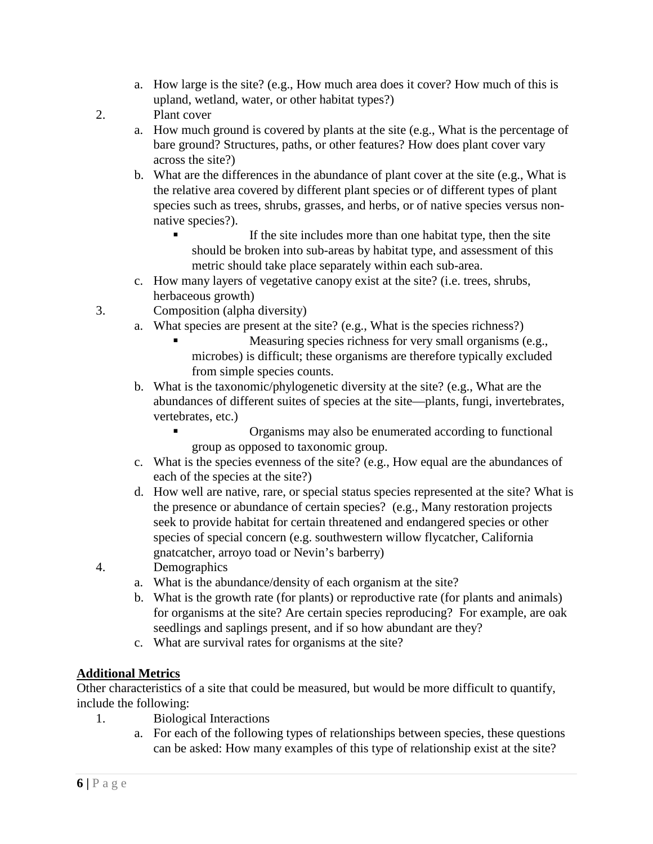a. How large is the site? (e.g., How much area does it cover? How much of this is upland, wetland, water, or other habitat types?)

2. Plant cover

- a. How much ground is covered by plants at the site (e.g., What is the percentage of bare ground? Structures, paths, or other features? How does plant cover vary across the site?)
- b. What are the differences in the abundance of plant cover at the site (e.g., What is the relative area covered by different plant species or of different types of plant species such as trees, shrubs, grasses, and herbs, or of native species versus nonnative species?).
	- If the site includes more than one habitat type, then the site should be broken into sub-areas by habitat type, and assessment of this metric should take place separately within each sub-area.
- c. How many layers of vegetative canopy exist at the site? (i.e. trees, shrubs, herbaceous growth)
- 3. Composition (alpha diversity)
	- a. What species are present at the site? (e.g., What is the species richness?)
		- Measuring species richness for very small organisms (e.g., microbes) is difficult; these organisms are therefore typically excluded from simple species counts.
	- b. What is the taxonomic/phylogenetic diversity at the site? (e.g., What are the abundances of different suites of species at the site—plants, fungi, invertebrates, vertebrates, etc.)
		- Organisms may also be enumerated according to functional group as opposed to taxonomic group.
	- c. What is the species evenness of the site? (e.g., How equal are the abundances of each of the species at the site?)
	- d. How well are native, rare, or special status species represented at the site? What is the presence or abundance of certain species? (e.g., Many restoration projects seek to provide habitat for certain threatened and endangered species or other species of special concern (e.g. southwestern willow flycatcher, California gnatcatcher, arroyo toad or Nevin's barberry)
- 4. Demographics
	- a. What is the abundance/density of each organism at the site?
	- b. What is the growth rate (for plants) or reproductive rate (for plants and animals) for organisms at the site? Are certain species reproducing? For example, are oak seedlings and saplings present, and if so how abundant are they?
	- c. What are survival rates for organisms at the site?

# **Additional Metrics**

Other characteristics of a site that could be measured, but would be more difficult to quantify, include the following:

- 1. Biological Interactions
	- a. For each of the following types of relationships between species, these questions can be asked: How many examples of this type of relationship exist at the site?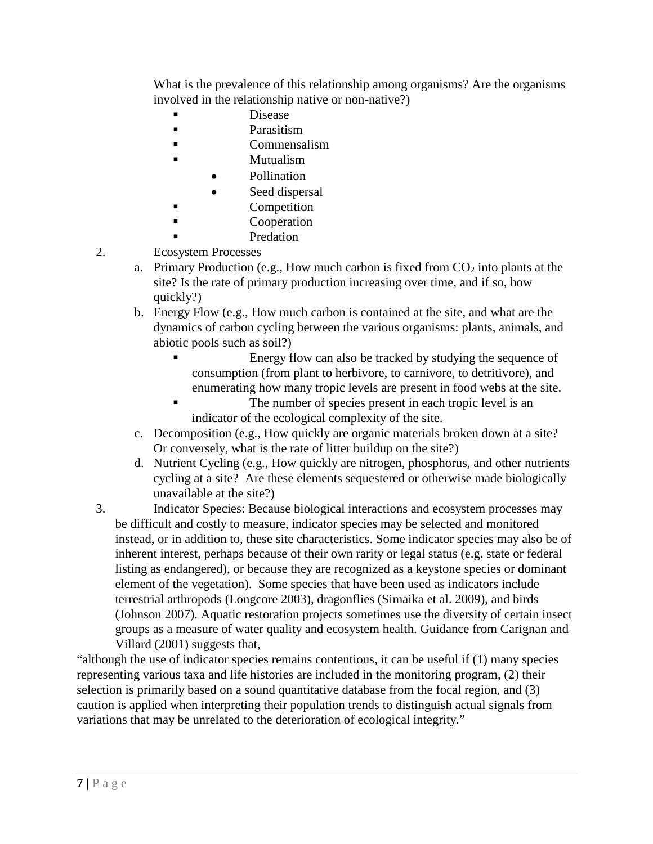What is the prevalence of this relationship among organisms? Are the organisms involved in the relationship native or non-native?)

- Disease
- **Parasitism**
- Commensalism
- **Mutualism** 
	- Pollination
- Seed dispersal
- **Competition**
- **Cooperation**
- Predation
- 2. Ecosystem Processes
	- a. Primary Production (e.g., How much carbon is fixed from  $CO<sub>2</sub>$  into plants at the site? Is the rate of primary production increasing over time, and if so, how quickly?)
	- b. Energy Flow (e.g., How much carbon is contained at the site, and what are the dynamics of carbon cycling between the various organisms: plants, animals, and abiotic pools such as soil?)
		- Energy flow can also be tracked by studying the sequence of consumption (from plant to herbivore, to carnivore, to detritivore), and enumerating how many tropic levels are present in food webs at the site.
		- The number of species present in each tropic level is an indicator of the ecological complexity of the site.
	- c. Decomposition (e.g., How quickly are organic materials broken down at a site? Or conversely, what is the rate of litter buildup on the site?)
	- d. Nutrient Cycling (e.g., How quickly are nitrogen, phosphorus, and other nutrients cycling at a site? Are these elements sequestered or otherwise made biologically unavailable at the site?)
- 3. Indicator Species: Because biological interactions and ecosystem processes may be difficult and costly to measure, indicator species may be selected and monitored instead, or in addition to, these site characteristics. Some indicator species may also be of inherent interest, perhaps because of their own rarity or legal status (e.g. state or federal listing as endangered), or because they are recognized as a keystone species or dominant element of the vegetation). Some species that have been used as indicators include terrestrial arthropods (Longcore 2003), dragonflies (Simaika et al. 2009), and birds (Johnson 2007). Aquatic restoration projects sometimes use the diversity of certain insect groups as a measure of water quality and ecosystem health. Guidance from Carignan and Villard (2001) suggests that,

"although the use of indicator species remains contentious, it can be useful if (1) many species representing various taxa and life histories are included in the monitoring program, (2) their selection is primarily based on a sound quantitative database from the focal region, and (3) caution is applied when interpreting their population trends to distinguish actual signals from variations that may be unrelated to the deterioration of ecological integrity."